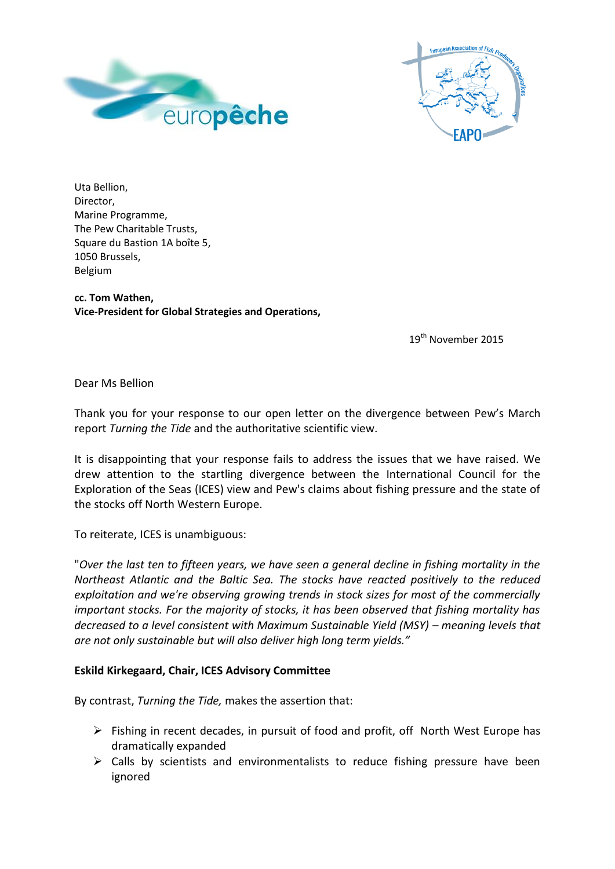



Uta Bellion, Director, Marine Programme, The Pew Charitable Trusts, Square du Bastion 1A boîte 5, 1050 Brussels, Belgium

**cc. Tom Wathen, Vice-President for Global Strategies and Operations,**

19<sup>th</sup> November 2015

Dear Ms Bellion

Thank you for your response to our open letter on the divergence between Pew's March report *Turning the Tide* and the authoritative scientific view.

It is disappointing that your response fails to address the issues that we have raised. We drew attention to the startling divergence between the International Council for the Exploration of the Seas (ICES) view and Pew's claims about fishing pressure and the state of the stocks off North Western Europe.

To reiterate, ICES is unambiguous:

"*Over the last ten to fifteen years, we have seen a general decline in fishing mortality in the Northeast Atlantic and the Baltic Sea. The stocks have reacted positively to the reduced exploitation and we're observing growing trends in stock sizes for most of the commercially important stocks. For the majority of stocks, it has been observed that fishing mortality has decreased to a level consistent with Maximum Sustainable Yield (MSY) – meaning levels that are not only sustainable but will also deliver high long term yields."*

## **Eskild Kirkegaard, Chair, ICES Advisory Committee**

By contrast, *Turning the Tide,* makes the assertion that:

- $\triangleright$  Fishing in recent decades, in pursuit of food and profit, off North West Europe has dramatically expanded
- $\triangleright$  Calls by scientists and environmentalists to reduce fishing pressure have been ignored